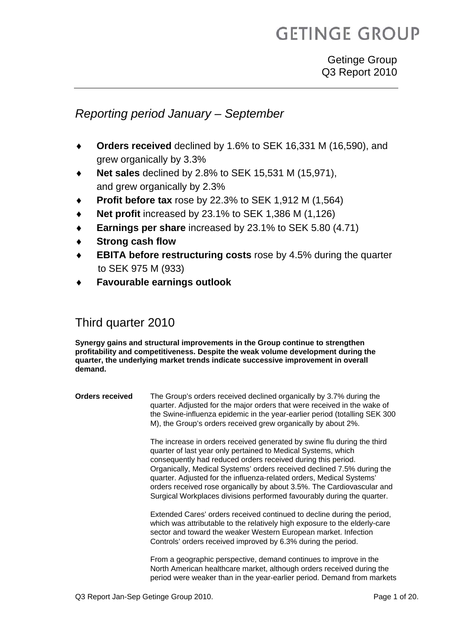# **GETINGE GROUP**

### *Reporting period January – September*

- Orders received declined by 1.6% to SEK 16,331 M (16,590), and grew organically by 3.3%
- **Net sales** declined by 2.8% to SEK 15,531 M (15,971), and grew organically by 2.3%
- **Profit before tax** rose by 22.3% to SEK 1,912 M (1,564)
- **Net profit** increased by 23.1% to SEK 1,386 M (1,126)
- **Earnings per share** increased by 23.1% to SEK 5.80 (4.71)
- **Strong cash flow**
- **EBITA before restructuring costs** rose by 4.5% during the quarter to SEK 975 M (933)
- **Favourable earnings outlook**

### Third quarter 2010

**Synergy gains and structural improvements in the Group continue to strengthen profitability and competitiveness. Despite the weak volume development during the quarter, the underlying market trends indicate successive improvement in overall demand.**

| <b>Orders received</b> | The Group's orders received declined organically by 3.7% during the<br>quarter. Adjusted for the major orders that were received in the wake of<br>the Swine-influenza epidemic in the year-earlier period (totalling SEK 300<br>M), the Group's orders received grew organically by about 2%.                                                                                                                                                                                                                 |
|------------------------|----------------------------------------------------------------------------------------------------------------------------------------------------------------------------------------------------------------------------------------------------------------------------------------------------------------------------------------------------------------------------------------------------------------------------------------------------------------------------------------------------------------|
|                        | The increase in orders received generated by swine flu during the third<br>quarter of last year only pertained to Medical Systems, which<br>consequently had reduced orders received during this period.<br>Organically, Medical Systems' orders received declined 7.5% during the<br>quarter. Adjusted for the influenza-related orders, Medical Systems'<br>orders received rose organically by about 3.5%. The Cardiovascular and<br>Surgical Workplaces divisions performed favourably during the quarter. |
|                        | Extended Cares' orders received continued to decline during the period,<br>which was attributable to the relatively high exposure to the elderly-care<br>sector and toward the weaker Western European market. Infection<br>Controls' orders received improved by 6.3% during the period.                                                                                                                                                                                                                      |
|                        | From a geographic perspective, demand continues to improve in the<br>North American healthcare market, although orders received during the<br>period were weaker than in the year-earlier period. Demand from markets                                                                                                                                                                                                                                                                                          |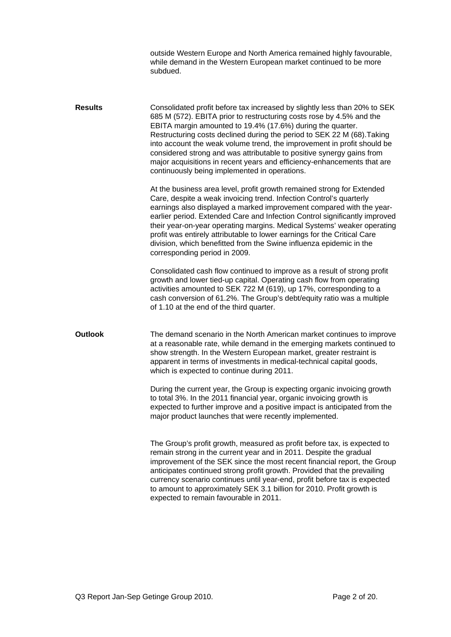|                | outside Western Europe and North America remained highly favourable,<br>while demand in the Western European market continued to be more<br>subdued.                                                                                                                                                                                                                                                                                                                                                                                                                       |
|----------------|----------------------------------------------------------------------------------------------------------------------------------------------------------------------------------------------------------------------------------------------------------------------------------------------------------------------------------------------------------------------------------------------------------------------------------------------------------------------------------------------------------------------------------------------------------------------------|
| <b>Results</b> | Consolidated profit before tax increased by slightly less than 20% to SEK<br>685 M (572). EBITA prior to restructuring costs rose by 4.5% and the<br>EBITA margin amounted to 19.4% (17.6%) during the quarter.<br>Restructuring costs declined during the period to SEK 22 M (68). Taking<br>into account the weak volume trend, the improvement in profit should be<br>considered strong and was attributable to positive synergy gains from<br>major acquisitions in recent years and efficiency-enhancements that are<br>continuously being implemented in operations. |
|                | At the business area level, profit growth remained strong for Extended<br>Care, despite a weak invoicing trend. Infection Control's quarterly<br>earnings also displayed a marked improvement compared with the year-<br>earlier period. Extended Care and Infection Control significantly improved<br>their year-on-year operating margins. Medical Systems' weaker operating<br>profit was entirely attributable to lower earnings for the Critical Care<br>division, which benefitted from the Swine influenza epidemic in the<br>corresponding period in 2009.         |
|                | Consolidated cash flow continued to improve as a result of strong profit<br>growth and lower tied-up capital. Operating cash flow from operating<br>activities amounted to SEK 722 M (619), up 17%, corresponding to a<br>cash conversion of 61.2%. The Group's debt/equity ratio was a multiple<br>of 1.10 at the end of the third quarter.                                                                                                                                                                                                                               |
| <b>Outlook</b> | The demand scenario in the North American market continues to improve<br>at a reasonable rate, while demand in the emerging markets continued to<br>show strength. In the Western European market, greater restraint is<br>apparent in terms of investments in medical-technical capital goods,<br>which is expected to continue during 2011.                                                                                                                                                                                                                              |
|                | During the current year, the Group is expecting organic invoicing growth<br>to total 3%. In the 2011 financial year, organic invoicing growth is<br>expected to further improve and a positive impact is anticipated from the<br>major product launches that were recently implemented.                                                                                                                                                                                                                                                                                    |
|                | The Group's profit growth, measured as profit before tax, is expected to<br>remain strong in the current year and in 2011. Despite the gradual<br>improvement of the SEK since the most recent financial report, the Group<br>anticipates continued strong profit growth. Provided that the prevailing<br>currency scenario continues until year-end, profit before tax is expected<br>to amount to approximately SEK 3.1 billion for 2010. Profit growth is<br>expected to remain favourable in 2011.                                                                     |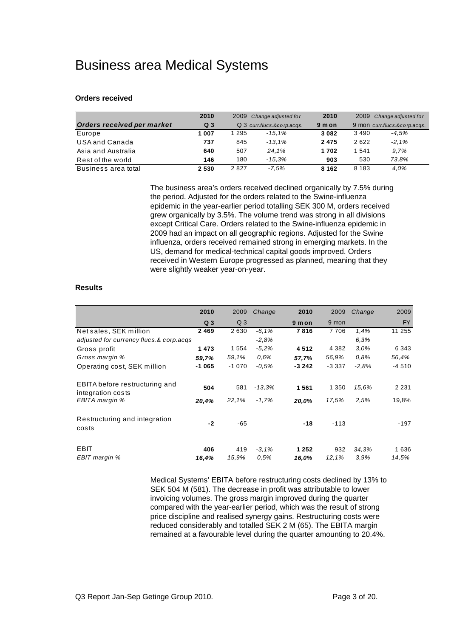### Business area Medical Systems

#### **Orders received**

|                            | 2010           | 2009<br>Change adjusted for |          | 2010    |                              | 2009 Change adjusted for |
|----------------------------|----------------|-----------------------------|----------|---------|------------------------------|--------------------------|
| Orders received per market | Q <sub>3</sub> | Q 3 curr.flucs.&corp.acqs.  |          | 9 m on  | 9 mon curr.flucs.&corp.acgs. |                          |
| Europe                     | 1 007          | 1 295                       | $-15.1%$ | 3 0 8 2 | 3490                         | $-4.5%$                  |
| USA and Canada             | 737            | 845                         | $-13.1%$ | 2 4 7 5 | 2622                         | $-2.1%$                  |
| Asia and Australia         | 640            | 507                         | 24.1%    | 1702    | 1 541                        | 9.7%                     |
| Rest of the world          | 146            | 180                         | $-15.3%$ | 903     | 530                          | 73.8%                    |
| Business area total        | 2 5 3 0        | 2827                        | -7.5%    | 8 1 6 2 | 8 1 8 3                      | 4.0%                     |

 The business area's orders received declined organically by 7.5% during the period. Adjusted for the orders related to the Swine-influenza epidemic in the year-earlier period totalling SEK 300 M, orders received grew organically by 3.5%. The volume trend was strong in all divisions except Critical Care. Orders related to the Swine-influenza epidemic in 2009 had an impact on all geographic regions. Adjusted for the Swine influenza, orders received remained strong in emerging markets. In the US, demand for medical-technical capital goods improved. Orders received in Western Europe progressed as planned, meaning that they were slightly weaker year-on-year.

#### **Results**

|                                                     | 2010           | 2009           | Change          | 2010             | 2009         | Change        | 2009          |
|-----------------------------------------------------|----------------|----------------|-----------------|------------------|--------------|---------------|---------------|
|                                                     | Q <sub>3</sub> | Q <sub>3</sub> |                 | 9 m on           | 9 mon        |               | <b>FY</b>     |
| Net sales, SEK million                              | 2469           | 2630           | $-6,1%$         | 7816             | 7706         | 1,4%          | 11 255        |
| adjusted for currency flucs.& corp.acqs             |                |                | $-2,8%$         |                  |              | 6,3%          |               |
| Gross profit                                        | 1473           | 1 554          | $-5.2%$         | 4512             | 4 3 8 2      | 3.0%          | 6 3 4 3       |
| Gross margin %                                      | 59,7%          | 59,1%          | 0.6%            | 57,7%            | 56,9%        | 0.8%          | 56.4%         |
| Operating cost, SEK million                         | $-1065$        | $-1070$        | $-0.5%$         | $-3242$          | $-3.337$     | $-2.8%$       | $-4510$       |
| EBITA before restructuring and<br>integration costs | 504            | 581            | $-13.3%$        | 1561             | 1 350        | 15.6%         | 2 2 3 1       |
| EBITA margin %                                      | 20,4%          | 22.1%          | $-1.7%$         | 20.0%            | 17.5%        | 2.5%          | 19,8%         |
| Restructuring and integration<br>costs              | $-2$           | -65            |                 | $-18$            | $-113$       |               | -197          |
| EBIT<br>EBIT margin %                               | 406<br>16,4%   | 419<br>15,9%   | $-3,1%$<br>0.5% | 1 2 5 2<br>16,0% | 932<br>12.1% | 34,3%<br>3.9% | 1636<br>14.5% |

 Medical Systems' EBITA before restructuring costs declined by 13% to SEK 504 M (581). The decrease in profit was attributable to lower invoicing volumes. The gross margin improved during the quarter compared with the year-earlier period, which was the result of strong price discipline and realised synergy gains. Restructuring costs were reduced considerably and totalled SEK 2 M (65). The EBITA margin remained at a favourable level during the quarter amounting to 20.4%.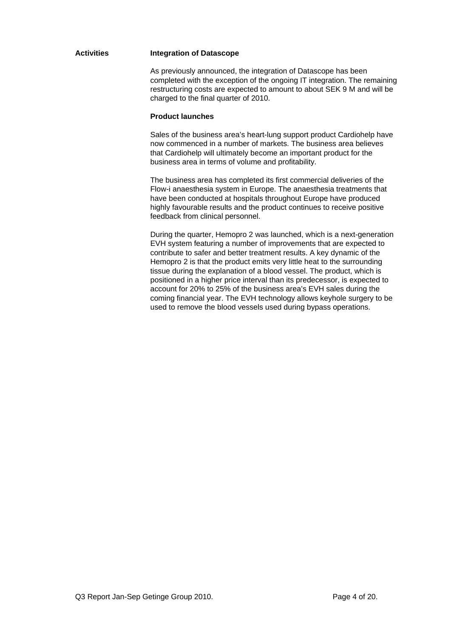#### **Activities Integration of Datascope**

 As previously announced, the integration of Datascope has been completed with the exception of the ongoing IT integration. The remaining restructuring costs are expected to amount to about SEK 9 M and will be charged to the final quarter of 2010.

#### **Product launches**

 Sales of the business area's heart-lung support product Cardiohelp have now commenced in a number of markets. The business area believes that Cardiohelp will ultimately become an important product for the business area in terms of volume and profitability.

 The business area has completed its first commercial deliveries of the Flow-i anaesthesia system in Europe. The anaesthesia treatments that have been conducted at hospitals throughout Europe have produced highly favourable results and the product continues to receive positive feedback from clinical personnel.

 During the quarter, Hemopro 2 was launched, which is a next-generation EVH system featuring a number of improvements that are expected to contribute to safer and better treatment results. A key dynamic of the Hemopro 2 is that the product emits very little heat to the surrounding tissue during the explanation of a blood vessel. The product, which is positioned in a higher price interval than its predecessor, is expected to account for 20% to 25% of the business area's EVH sales during the coming financial year. The EVH technology allows keyhole surgery to be used to remove the blood vessels used during bypass operations.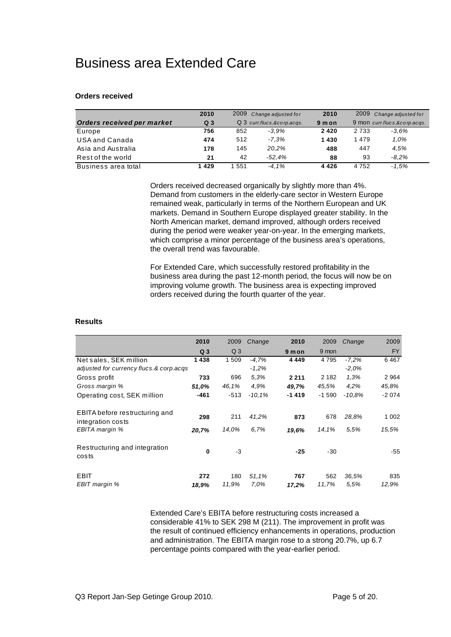### Business area Extended Care

#### **Orders received**

|                            | 2010           | 2009 Change adjusted for   |          | 2010   | 2009 Change adjusted for     |         |
|----------------------------|----------------|----------------------------|----------|--------|------------------------------|---------|
| Orders received per market | Q <sub>3</sub> | Q 3 curr.flucs.&corp.acqs. |          | 9 m on | 9 mon curr.flucs.&corp.acqs. |         |
| Europe                     | 756            | 852                        | -3.9%    | 2420   | 2 7 3 3                      | -3.6%   |
| USA and Canada             | 474            | 512                        | $-7.3%$  | 1430   | 1479                         | 1.0%    |
| Asia and Australia         | 178            | 145                        | 20.2%    | 488    | 447                          | 4.5%    |
| Rest of the world          | 21             | 42                         | $-52.4%$ | 88     | 93                           | $-8.2%$ |
| Business area total        | 1429           | -551                       | $-4.1\%$ | 4426   | 4 7 5 2                      | -1.5%   |

 Orders received decreased organically by slightly more than 4%. Demand from customers in the elderly-care sector in Western Europe remained weak, particularly in terms of the Northern European and UK markets. Demand in Southern Europe displayed greater stability. In the North American market, demand improved, although orders received during the period were weaker year-on-year. In the emerging markets, which comprise a minor percentage of the business area's operations, the overall trend was favourable.

 For Extended Care, which successfully restored profitability in the business area during the past 12-month period, the focus will now be on improving volume growth. The business area is expecting improved orders received during the fourth quarter of the year.

#### **Results**

|                                                     | 2010           | 2009           | Change        | 2010         | 2009         | Change        | 2009         |
|-----------------------------------------------------|----------------|----------------|---------------|--------------|--------------|---------------|--------------|
|                                                     | Q <sub>3</sub> | Q <sub>3</sub> |               | 9 mon        | 9 mon        |               | <b>FY</b>    |
| Net sales, SEK million                              | 1438           | 1 509          | $-4.7%$       | 4 4 4 9      | 4 7 9 5      | $-7.2%$       | 6467         |
| adjusted for currency flucs.& corp.acqs             |                |                | $-1,2%$       |              |              | $-2,0%$       |              |
| Gross profit                                        | 733            | 696            | 5.3%          | 2 2 1 1      | 2 1 8 2      | 1.3%          | 2964         |
| Gross margin %                                      | 51,0%          | 46,1%          | 4.9%          | 49,7%        | 45,5%        | 4.2%          | 45,8%        |
| Operating cost, SEK million                         | -461           | $-513$         | $-10.1%$      | $-1419$      | $-1590$      | $-10.8%$      | $-2074$      |
| EBITA before restructuring and<br>integration costs | 298            | 211            | 41,2%         | 873          | 678          | 28.8%         | 1 0 0 2      |
| EBITA margin %                                      | 20,7%          | 14.0%          | 6.7%          | 19,6%        | 14,1%        | 5.5%          | 15,5%        |
| Restructuring and integration<br>costs              | $\bf{0}$       | $-3$           |               | $-25$        | $-30$        |               | -55          |
| <b>EBIT</b><br>EBIT margin %                        | 272<br>18,9%   | 180<br>11.9%   | 51,1%<br>7.0% | 767<br>17,2% | 562<br>11,7% | 36.5%<br>5.5% | 835<br>12,9% |

 Extended Care's EBITA before restructuring costs increased a considerable 41% to SEK 298 M (211). The improvement in profit was the result of continued efficiency enhancements in operations, production and administration. The EBITA margin rose to a strong 20.7%, up 6.7 percentage points compared with the year-earlier period.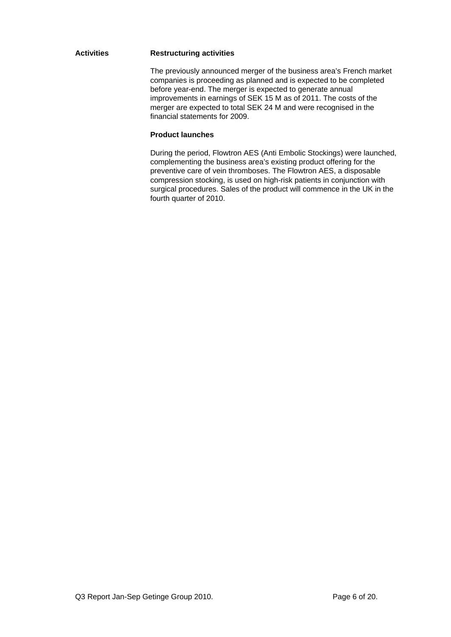#### **Activities Restructuring activities**

 The previously announced merger of the business area's French market companies is proceeding as planned and is expected to be completed before year-end. The merger is expected to generate annual improvements in earnings of SEK 15 M as of 2011. The costs of the merger are expected to total SEK 24 M and were recognised in the financial statements for 2009.

#### **Product launches**

 During the period, Flowtron AES (Anti Embolic Stockings) were launched, complementing the business area's existing product offering for the preventive care of vein thromboses. The Flowtron AES, a disposable compression stocking, is used on high-risk patients in conjunction with surgical procedures. Sales of the product will commence in the UK in the fourth quarter of 2010.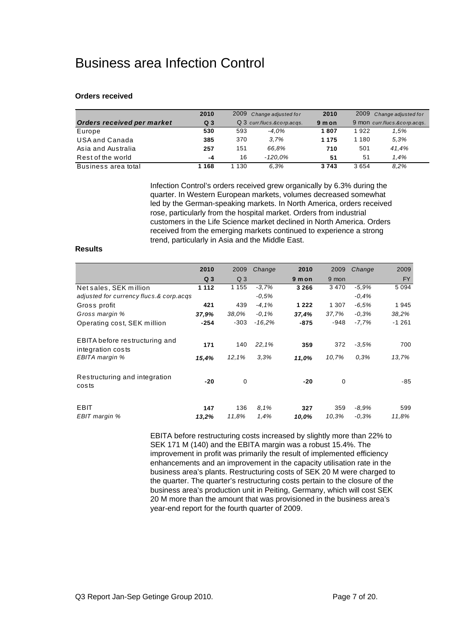### Business area Infection Control

#### **Orders received**

|                            | 2010           | 2009<br>Change adjusted for |            | 2010    |                              | 2009 Change adjusted for |
|----------------------------|----------------|-----------------------------|------------|---------|------------------------------|--------------------------|
| Orders received per market | Q <sub>3</sub> | Q 3 curr.flucs.&corp.acqs.  |            | 9 m on  | 9 mon curr.flucs.&corp.acqs. |                          |
| Europe                     | 530            | 593                         | -4.0%      | 1807    | 1922                         | 1.5%                     |
| USA and Canada             | 385            | 370                         | 3.7%       | 1 1 7 5 | 1 1 8 0                      | 5.3%                     |
| Asia and Australia         | 257            | 151                         | 66.8%      | 710     | 501                          | 41.4%                    |
| Rest of the world          | -4             | 16                          | $-120.0\%$ | 51      | 51                           | 1.4%                     |
| Business area total        | 168            | 130                         | 6.3%       | 3743    | 3654                         | 8.2%                     |

 Infection Control's orders received grew organically by 6.3% during the quarter. In Western European markets, volumes decreased somewhat led by the German-speaking markets. In North America, orders received rose, particularly from the hospital market. Orders from industrial customers in the Life Science market declined in North America. Orders received from the emerging markets continued to experience a strong trend, particularly in Asia and the Middle East.

#### **Results**

|                                                     | 2010           | 2009           | Change   | 2010    | 2009  | Change  | 2009      |
|-----------------------------------------------------|----------------|----------------|----------|---------|-------|---------|-----------|
|                                                     | Q <sub>3</sub> | Q <sub>3</sub> |          | 9 m on  | 9 mon |         | <b>FY</b> |
| Net sales, SEK million                              | 1 1 1 2        | 1 1 5 5        | $-3,7%$  | 3 2 6 6 | 3470  | $-5.9%$ | 5 0 9 4   |
| adjusted for currency flucs.& corp.acqs             |                |                | $-0,5%$  |         |       | $-0.4%$ |           |
| Gross profit                                        | 421            | 439            | $-4.1%$  | 1 2 2 2 | 1 307 | $-6.5%$ | 1945      |
| Gross margin %                                      | 37.9%          | 38,0%          | $-0,1%$  | 37,4%   | 37,7% | $-0.3%$ | 38,2%     |
| Operating cost, SEK million                         | $-254$         | $-303$         | $-16.2%$ | -875    | -948  | $-7.7%$ | $-1261$   |
| EBITA before restructuring and<br>integration costs | 171            | 140            | 22,1%    | 359     | 372   | $-3.5%$ | 700       |
| EBITA margin %                                      | 15,4%          | 12,1%          | 3.3%     | 11,0%   | 10,7% | 0.3%    | 13,7%     |
| Restructuring and integration<br>costs              | $-20$          | 0              |          | $-20$   | 0     |         | -85       |
| EBIT                                                | 147            | 136            | 8,1%     | 327     | 359   | -8.9%   | 599       |
| EBIT margin %                                       | 13,2%          | 11.8%          | 1.4%     | 10.0%   | 10,3% | $-0.3%$ | 11.8%     |

 EBITA before restructuring costs increased by slightly more than 22% to SEK 171 M (140) and the EBITA margin was a robust 15.4%. The improvement in profit was primarily the result of implemented efficiency enhancements and an improvement in the capacity utilisation rate in the business area's plants. Restructuring costs of SEK 20 M were charged to the quarter. The quarter's restructuring costs pertain to the closure of the business area's production unit in Peiting, Germany, which will cost SEK 20 M more than the amount that was provisioned in the business area's year-end report for the fourth quarter of 2009.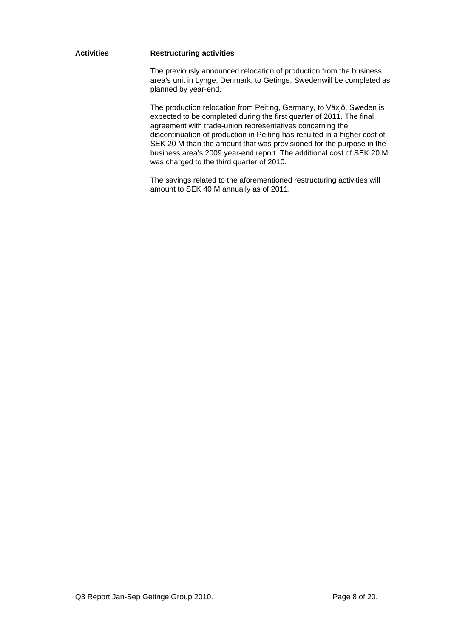#### **Activities Restructuring activities**

 The previously announced relocation of production from the business area's unit in Lynge, Denmark, to Getinge, Sweden will be completed as planned by year-end.

 The production relocation from Peiting, Germany, to Växjö, Sweden is expected to be completed during the first quarter of 2011. The final agreement with trade-union representatives concerning the discontinuation of production in Peiting has resulted in a higher cost of SEK 20 M than the amount that was provisioned for the purpose in the business area's 2009 year-end report. The additional cost of SEK 20 M was charged to the third quarter of 2010.

 The savings related to the aforementioned restructuring activities will amount to SEK 40 M annually as of 2011.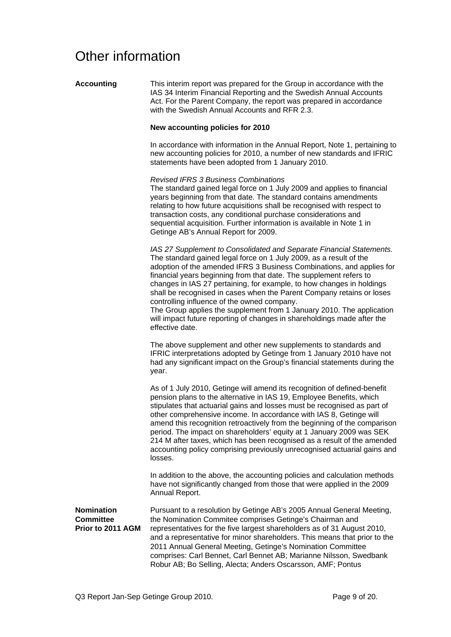### Other information

| <b>Accounting</b>                                          | This interim report was prepared for the Group in accordance with the<br>IAS 34 Interim Financial Reporting and the Swedish Annual Accounts<br>Act. For the Parent Company, the report was prepared in accordance<br>with the Swedish Annual Accounts and RFR 2.3.                                                                                                                                                                                                                                                                                                                                                                                                |
|------------------------------------------------------------|-------------------------------------------------------------------------------------------------------------------------------------------------------------------------------------------------------------------------------------------------------------------------------------------------------------------------------------------------------------------------------------------------------------------------------------------------------------------------------------------------------------------------------------------------------------------------------------------------------------------------------------------------------------------|
|                                                            | New accounting policies for 2010                                                                                                                                                                                                                                                                                                                                                                                                                                                                                                                                                                                                                                  |
|                                                            | In accordance with information in the Annual Report, Note 1, pertaining to<br>new accounting policies for 2010, a number of new standards and IFRIC<br>statements have been adopted from 1 January 2010.                                                                                                                                                                                                                                                                                                                                                                                                                                                          |
|                                                            | <b>Revised IFRS 3 Business Combinations</b><br>The standard gained legal force on 1 July 2009 and applies to financial<br>years beginning from that date. The standard contains amendments<br>relating to how future acquisitions shall be recognised with respect to<br>transaction costs, any conditional purchase considerations and<br>sequential acquisition. Further information is available in Note 1 in<br>Getinge AB's Annual Report for 2009.                                                                                                                                                                                                          |
|                                                            | IAS 27 Supplement to Consolidated and Separate Financial Statements.<br>The standard gained legal force on 1 July 2009, as a result of the<br>adoption of the amended IFRS 3 Business Combinations, and applies for<br>financial years beginning from that date. The supplement refers to<br>changes in IAS 27 pertaining, for example, to how changes in holdings<br>shall be recognised in cases when the Parent Company retains or loses<br>controlling influence of the owned company.<br>The Group applies the supplement from 1 January 2010. The application<br>will impact future reporting of changes in shareholdings made after the<br>effective date. |
|                                                            | The above supplement and other new supplements to standards and<br>IFRIC interpretations adopted by Getinge from 1 January 2010 have not<br>had any significant impact on the Group's financial statements during the<br>year.                                                                                                                                                                                                                                                                                                                                                                                                                                    |
|                                                            | As of 1 July 2010, Getinge will amend its recognition of defined-benefit<br>pension plans to the alternative in IAS 19, Employee Benefits, which<br>stipulates that actuarial gains and losses must be recognised as part of<br>other comprehensive income. In accordance with IAS 8, Getinge will<br>amend this recognition retroactively from the beginning of the comparison<br>period. The impact on shareholders' equity at 1 January 2009 was SEK<br>214 M after taxes, which has been recognised as a result of the amended<br>accounting policy comprising previously unrecognised actuarial gains and<br>losses.                                         |
|                                                            | In addition to the above, the accounting policies and calculation methods<br>have not significantly changed from those that were applied in the 2009<br>Annual Report.                                                                                                                                                                                                                                                                                                                                                                                                                                                                                            |
| <b>Nomination</b><br><b>Committee</b><br>Prior to 2011 AGM | Pursuant to a resolution by Getinge AB's 2005 Annual General Meeting,<br>the Nomination Commitee comprises Getinge's Chairman and<br>representatives for the five largest shareholders as of 31 August 2010,<br>and a representative for minor shareholders. This means that prior to the<br>2011 Annual General Meeting, Getinge's Nomination Committee<br>comprises: Carl Bennet, Carl Bennet AB; Marianne Nilsson, Swedbank<br>Robur AB; Bo Selling, Alecta; Anders Oscarsson, AMF; Pontus                                                                                                                                                                     |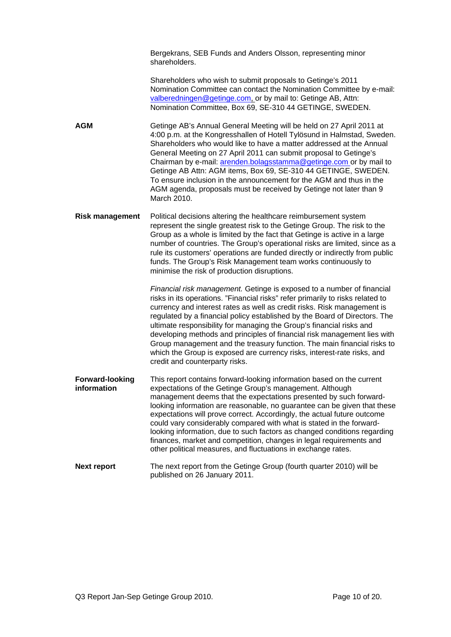Bergekrans, SEB Funds and Anders Olsson, representing minor shareholders.

 Shareholders who wish to submit proposals to Getinge's 2011 Nomination Committee can contact the Nomination Committee by e-mail: valberedningen@getinge.com, or by mail to: Getinge AB, Attn: Nomination Committee, Box 69, SE-310 44 GETINGE, SWEDEN.

**AGM** Getinge AB's Annual General Meeting will be held on 27 April 2011 at 4:00 p.m. at the Kongresshallen of Hotell Tylösund in Halmstad, Sweden. Shareholders who would like to have a matter addressed at the Annual General Meeting on 27 April 2011 can submit proposal to Getinge's Chairman by e-mail: arenden.bolagsstamma@getinge.com or by mail to Getinge AB Attn: AGM items, Box 69, SE-310 44 GETINGE, SWEDEN. To ensure inclusion in the announcement for the AGM and thus in the AGM agenda, proposals must be received by Getinge not later than 9 March 2010.

**Risk management** Political decisions altering the healthcare reimbursement system represent the single greatest risk to the Getinge Group. The risk to the Group as a whole is limited by the fact that Getinge is active in a large number of countries. The Group's operational risks are limited, since as a rule its customers' operations are funded directly or indirectly from public funds. The Group's Risk Management team works continuously to minimise the risk of production disruptions.

> *Financial risk management.* Getinge is exposed to a number of financial risks in its operations. "Financial risks" refer primarily to risks related to currency and interest rates as well as credit risks. Risk management is regulated by a financial policy established by the Board of Directors. The ultimate responsibility for managing the Group's financial risks and developing methods and principles of financial risk management lies with Group management and the treasury function. The main financial risks to which the Group is exposed are currency risks, interest-rate risks, and credit and counterparty risks.

**Forward-looking** This report contains forward-looking information based on the current **information** expectations of the Getinge Group's management. Although management deems that the expectations presented by such forwardlooking information are reasonable, no guarantee can be given that these expectations will prove correct. Accordingly, the actual future outcome could vary considerably compared with what is stated in the forwardlooking information, due to such factors as changed conditions regarding finances, market and competition, changes in legal requirements and other political measures, and fluctuations in exchange rates.

#### **Next report** The next report from the Getinge Group (fourth quarter 2010) will be published on 26 January 2011.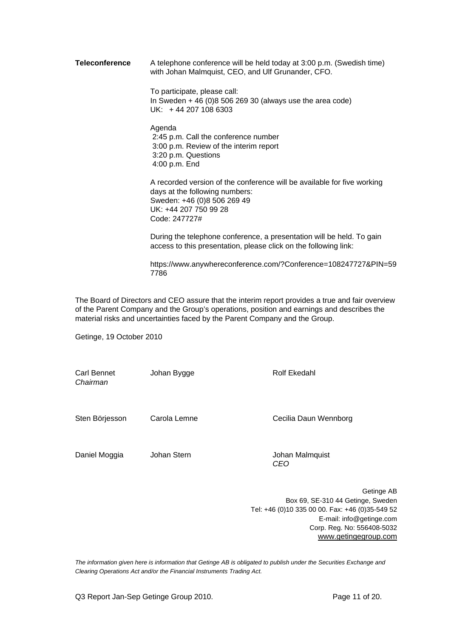**Teleconference** A telephone conference will be held today at 3:00 p.m. (Swedish time) with Johan Malmquist, CEO, and Ulf Grunander, CFO.

> To participate, please call: In Sweden + 46 (0)8 506 269 30 (always use the area code) UK: + 44 207 108 6303

 Agenda 2:45 p.m. Call the conference number 3:00 p.m. Review of the interim report 3:20 p.m. Questions 4:00 p.m. End

 A recorded version of the conference will be available for five working days at the following numbers: Sweden: +46 (0)8 506 269 49 UK: +44 207 750 99 28 Code: 247727#

 During the telephone conference, a presentation will be held. To gain access to this presentation, please click on the following link:

https://www.anywhereconference.com/?Conference=108247727&PIN=59 7786

The Board of Directors and CEO assure that the interim report provides a true and fair overview of the Parent Company and the Group's operations, position and earnings and describes the material risks and uncertainties faced by the Parent Company and the Group.

Getinge, 19 October 2010

Carl Bennet Johan Bygge Rolf Ekedahl *Chairman*  Sten Börjesson Carola Lemne Cecilia Daun Wennborg Daniel Moggia Johan Stern Johan Malmquist *CEO* 

> Getinge AB Box 69, SE-310 44 Getinge, Sweden Tel: +46 (0)10 335 00 00. Fax: +46 (0)35-549 52 E-mail: info@getinge.com Corp. Reg. No: 556408-5032 www.getingegroup.com

*The information given here is information that Getinge AB is obligated to publish under the Securities Exchange and Clearing Operations Act and/or the Financial Instruments Trading Act.*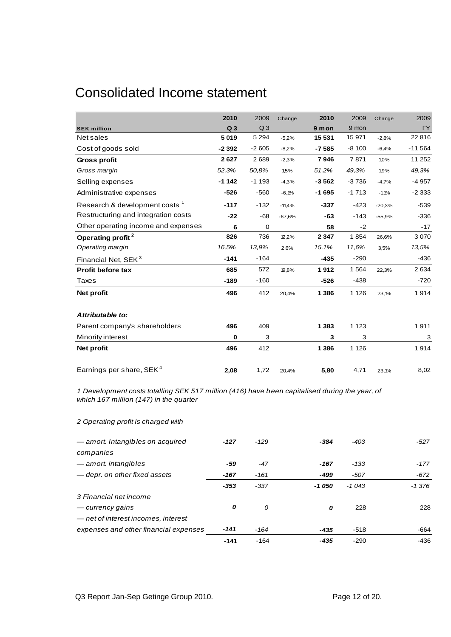### Consolidated Income statement

|                                           | 2010           | 2009           | Change   | 2010    | 2009    | Change   | 2009      |
|-------------------------------------------|----------------|----------------|----------|---------|---------|----------|-----------|
| <b>SEK million</b>                        | Q <sub>3</sub> | Q <sub>3</sub> |          | 9 mon   | 9 mon   |          | <b>FY</b> |
| Net sales                                 | 5019           | 5 2 9 4        | $-5,2%$  | 15 531  | 15 971  | $-2,8%$  | 22 816    |
| Cost of goods sold                        | $-2392$        | $-2605$        | $-8,2%$  | $-7585$ | $-8100$ | $-6,4%$  | $-11564$  |
| Gross profit                              | 2627           | 2689           | $-2,3%$  | 7946    | 7871    | 1,0%     | 11 252    |
| Gross margin                              | 52,3%          | 50,8%          | 1,5%     | 51,2%   | 49,3%   | 1,9%     | 49,3%     |
| Selling expenses                          | $-1142$        | $-1193$        | $-4,3%$  | $-3562$ | $-3736$ | $-4,7%$  | $-4957$   |
| Administrative expenses                   | $-526$         | $-560$         | $-6,1%$  | $-1695$ | $-1713$ | $-1,1%$  | $-2333$   |
| Research & development costs <sup>1</sup> | $-117$         | $-132$         | $-11,4%$ | $-337$  | $-423$  | $-20,3%$ | $-539$    |
| Restructuring and integration costs       | $-22$          | $-68$          | $-67,6%$ | $-63$   | $-143$  | $-55,9%$ | $-336$    |
| Other operating income and expenses       | 6              | 0              |          | 58      | $-2$    |          | $-17$     |
| Operating profit <sup>2</sup>             | 826            | 736            | 12,2%    | 2 3 4 7 | 1854    | 26,6%    | 3070      |
| Operating margin                          | 16,5%          | 13,9%          | 2,6%     | 15,1%   | 11,6%   | 3,5%     | 13,5%     |
| Financial Net, SEK <sup>3</sup>           | $-141$         | $-164$         |          | $-435$  | $-290$  |          | $-436$    |
| <b>Profit before tax</b>                  | 685            | 572            | 19,8%    | 1912    | 1564    | 22,3%    | 2634      |
| Taxes                                     | $-189$         | $-160$         |          | $-526$  | $-438$  |          | $-720$    |
| Net profit                                | 496            | 412            | 20,4%    | 1 3 8 6 | 1 1 2 6 | 23,1%    | 1914      |
| Attributable to:                          |                |                |          |         |         |          |           |
| Parent company's shareholders             | 496            | 409            |          | 1 3 8 3 | 1 1 2 3 |          | 1911      |
| Minority interest                         | $\mathbf 0$    | 3              |          | 3       | 3       |          | 3         |
| Net profit                                | 496            | 412            |          | 1 3 8 6 | 1 1 2 6 |          | 1914      |
| Earnings per share, SEK <sup>4</sup>      | 2,08           | 1,72           | 20,4%    | 5,80    | 4,71    | 23,1%    | 8,02      |

*1 Development costs totalling SEK 517 million (416) have been capitalised during the year, of which 167 million (147) in the quarter*

*2 Operating profit is charged with*

| - amort. Intangibles on acquired      | $-127$ | $-129$ | -384   | $-403$  | $-527$   |
|---------------------------------------|--------|--------|--------|---------|----------|
| companies                             |        |        |        |         |          |
| — amort. intangibles                  | -59    | -47    | $-167$ | $-133$  | $-177$   |
| — depr. on other fixed assets         | $-167$ | $-161$ | -499   | $-507$  | $-672$   |
|                                       | $-353$ | $-337$ | -1 050 | $-1043$ | $-1.376$ |
| 3 Financial net income                |        |        |        |         |          |
| — currency gains                      | 0      | 0      | 0      | 228     | 228      |
| - net of interest incomes, interest   |        |        |        |         |          |
| expenses and other financial expenses | $-141$ | $-164$ | $-435$ | $-518$  | $-664$   |
|                                       | $-141$ | $-164$ | $-435$ | $-290$  | -436     |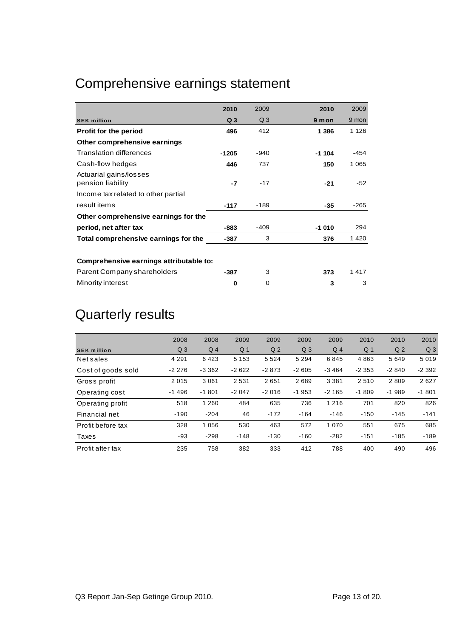## Comprehensive earnings statement

|                                             | 2010           | 2009           | 2010    | 2009    |
|---------------------------------------------|----------------|----------------|---------|---------|
| <b>SEK million</b>                          | Q <sub>3</sub> | Q <sub>3</sub> | 9 mon   | 9 mon   |
| <b>Profit for the period</b>                | 496            | 412            | 1 386   | 1 1 2 6 |
| Other comprehensive earnings                |                |                |         |         |
| <b>Translation differences</b>              | $-1205$        | $-940$         | $-1104$ | $-454$  |
| Cash-flow hedges                            | 446            | 737            | 150     | 1 0 6 5 |
| Actuarial gains/losses<br>pension liability | -7             | $-17$          | $-21$   | $-52$   |
| Income tax related to other partial         |                |                |         |         |
| result items                                | $-117$         | $-189$         | $-35$   | $-265$  |
| Other comprehensive earnings for the        |                |                |         |         |
| period, net after tax                       | $-883$         | $-409$         | $-1010$ | 294     |
| Total comprehensive earnings for the        | $-387$         | 3              | 376     | 1420    |
|                                             |                |                |         |         |
| Comprehensive earnings attributable to:     |                |                |         |         |
| Parent Company shareholders                 | -387           | 3              | 373     | 1417    |
| Minority interest                           | 0              | 0              | 3       | 3       |

## Quarterly results

|                    | 2008           | 2008     | 2009           | 2009           | 2009           | 2009    | 2010           | 2010           | 2010           |
|--------------------|----------------|----------|----------------|----------------|----------------|---------|----------------|----------------|----------------|
| <b>SEK million</b> | Q <sub>3</sub> | $Q_4$    | Q <sub>1</sub> | Q <sub>2</sub> | Q <sub>3</sub> | $Q_4$   | Q <sub>1</sub> | Q <sub>2</sub> | Q <sub>3</sub> |
| <b>Net sales</b>   | 4 2 9 1        | 6423     | 5 1 5 3        | 5 5 2 4        | 5 2 9 4        | 6845    | 4863           | 5649           | 5019           |
| Cost of goods sold | $-2276$        | $-3.362$ | $-2622$        | $-2873$        | $-2605$        | $-3464$ | $-2353$        | $-2840$        | $-2.392$       |
| Gross profit       | 2015           | 3 0 6 1  | 2 5 3 1        | 2651           | 2689           | 3 3 8 1 | 2510           | 2809           | 2627           |
| Operating cost     | $-1496$        | $-1801$  | $-2047$        | $-2016$        | $-1953$        | $-2165$ | $-1809$        | $-1989$        | $-1801$        |
| Operating profit   | 518            | 1 2 6 0  | 484            | 635            | 736            | 1 2 1 6 | 701            | 820            | 826            |
| Financial net      | $-190$         | $-204$   | 46             | $-172$         | $-164$         | $-146$  | $-150$         | $-145$         | $-141$         |
| Profit before tax  | 328            | 1 0 5 6  | 530            | 463            | 572            | 1 0 7 0 | 551            | 675            | 685            |
| Taxes              | -93            | $-298$   | $-148$         | $-130$         | $-160$         | $-282$  | $-151$         | $-185$         | $-189$         |
| Profit after tax   | 235            | 758      | 382            | 333            | 412            | 788     | 400            | 490            | 496            |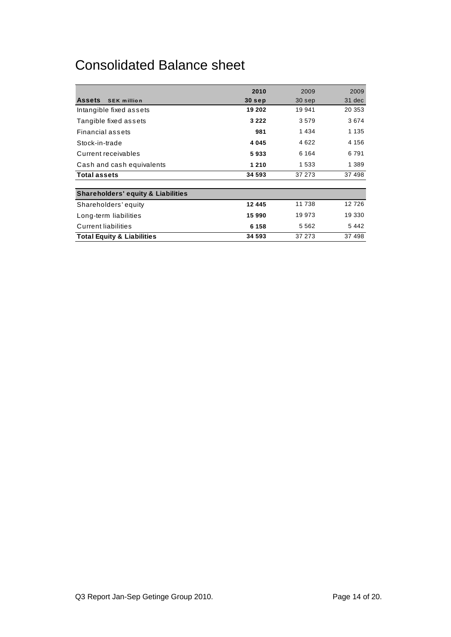### Consolidated Balance sheet

|                                               | 2010     | 2009    | 2009    |
|-----------------------------------------------|----------|---------|---------|
| <b>Assets</b><br><b>SEK million</b>           | $30$ sep | 30 sep  | 31 dec  |
| Intangible fixed assets                       | 19 202   | 19 941  | 20 353  |
| Tangible fixed assets                         | 3 2 2 2  | 3579    | 3674    |
| Financial assets                              | 981      | 1434    | 1 1 3 5 |
| Stock-in-trade                                | 4 0 4 5  | 4 6 2 2 | 4 1 5 6 |
| Current receivables                           | 5933     | 6 1 6 4 | 6791    |
| Cash and cash equivalents                     | 1 2 1 0  | 1 533   | 1 3 8 9 |
| <b>Total assets</b>                           | 34 593   | 37 273  | 37 498  |
|                                               |          |         |         |
| <b>Shareholders' equity &amp; Liabilities</b> |          |         |         |
| Shareholders' equity                          | 12 445   | 11 738  | 12 7 26 |
| Long-term liabilities                         | 15 990   | 19 973  | 19 330  |
| <b>Current liabilities</b>                    | 6 1 5 8  | 5 5 6 2 | 5 4 4 2 |
| <b>Total Equity &amp; Liabilities</b>         | 34 593   | 37 273  | 37 498  |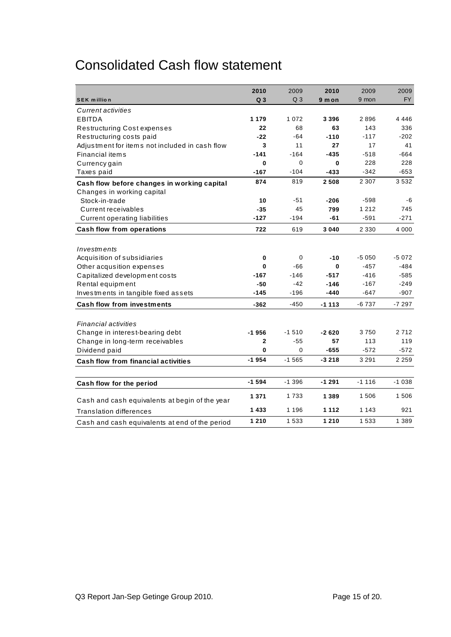### Consolidated Cash flow statement

|                                                | 2010           | 2009           | 2010    | 2009    | 2009      |
|------------------------------------------------|----------------|----------------|---------|---------|-----------|
| <b>SEK million</b>                             | Q <sub>3</sub> | Q <sub>3</sub> | 9 m on  | 9 mon   | <b>FY</b> |
| <b>Current activities</b>                      |                |                |         |         |           |
| <b>EBITDA</b>                                  | 1 1 7 9        | 1 0 7 2        | 3 3 9 6 | 2896    | 4 4 4 6   |
| <b>Restructuring Cost expenses</b>             | 22             | 68             | 63      | 143     | 336       |
| Restructuring costs paid                       | $-22$          | $-64$          | $-110$  | $-117$  | $-202$    |
| Adjustment for items not included in cash flow | 3              | 11             | 27      | 17      | 41        |
| Financial items                                | $-141$         | $-164$         | $-435$  | $-518$  | $-664$    |
| Currency gain                                  | $\bf{0}$       | $\Omega$       | 0       | 228     | 228       |
| Taxes paid                                     | $-167$         | $-104$         | $-433$  | $-342$  | $-653$    |
| Cash flow before changes in working capital    | 874            | 819            | 2 5 0 8 | 2 3 0 7 | 3532      |
| Changes in working capital                     |                |                |         |         |           |
| Stock-in-trade                                 | 10             | $-51$          | $-206$  | $-598$  | -6        |
| <b>Current receivables</b>                     | $-35$          | 45             | 799     | 1 2 1 2 | 745       |
| <b>Current operating liabilities</b>           | -127           | -194           | -61     | $-591$  | $-271$    |
| <b>Cash flow from operations</b>               | 722            | 619            | 3 0 4 0 | 2 3 3 0 | 4 0 0 0   |
|                                                |                |                |         |         |           |
| Investments                                    |                |                |         |         |           |
| Acquisition of subsidiaries                    | 0              | 0              | $-10$   | $-5050$ | $-5072$   |
| Other acqusition expenses                      | $\bf{0}$       | $-66$          | 0       | $-457$  | $-484$    |
| Capitalized development costs                  | -167           | $-146$         | -517    | $-416$  | -585      |
| Rental equipment                               | $-50$          | $-42$          | $-146$  | $-167$  | $-249$    |
| Investments in tangible fixed assets           | $-145$         | $-196$         | $-440$  | $-647$  | $-907$    |
| <b>Cash flow from investments</b>              | -362           | $-450$         | $-1113$ | $-6737$ | $-7297$   |
| <b>Financial activities</b>                    |                |                |         |         |           |
| Change in interest-bearing debt                | $-1956$        | $-1510$        | $-2620$ | 3750    | 2712      |
| Change in long-term receivables                | $\mathbf{2}$   | $-55$          | 57      | 113     | 119       |
| Dividend paid                                  | $\bf{0}$       | $\Omega$       | $-655$  | $-572$  | $-572$    |
| <b>Cash flow from financial activities</b>     | $-1954$        | $-1565$        | $-3218$ | 3 2 9 1 | 2 2 5 9   |
|                                                |                |                |         |         |           |
| Cash flow for the period                       | $-1594$        | $-1.396$       | $-1291$ | $-1116$ | $-1038$   |
| Cash and cash equivalents at begin of the year | 1 3 7 1        | 1733           | 1 3 8 9 | 1 506   | 1 506     |
| <b>Translation differences</b>                 | 1433           | 1 1 9 6        | 1 1 1 2 | 1 1 4 3 | 921       |
| Cash and cash equivalents at end of the period | 1 2 1 0        | 1 5 3 3        | 1 2 1 0 | 1 5 3 3 | 1 389     |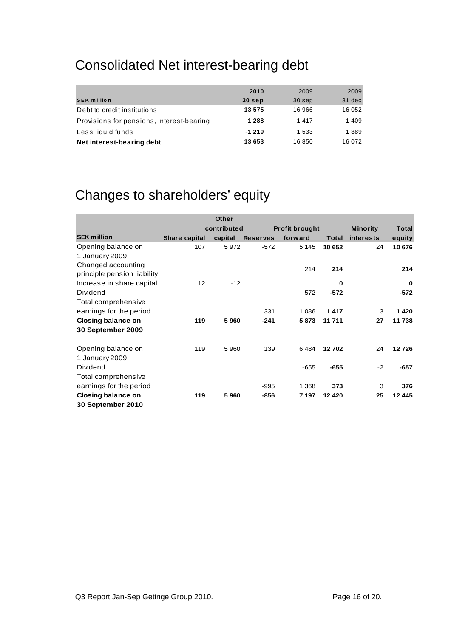### Consolidated Net interest-bearing debt

|                                           | 2010    | 2009     | 2009    |
|-------------------------------------------|---------|----------|---------|
| <b>SEK million</b>                        | 30 sep  | 30 sep   | 31 dec  |
| Debt to credit institutions               | 13 575  | 16 966   | 16 052  |
| Provisions for pensions, interest-bearing | 1 2 8 8 | 1417     | 1 4 0 9 |
| Less liquid funds                         | $-1210$ | $-1.533$ | -1 389  |
| Net interest-bearing debt                 | 13 653  | 16850    | 16 072  |

## Changes to shareholders' equity

|                             |               | <b>Other</b> |                 |                       |              |                  |              |
|-----------------------------|---------------|--------------|-----------------|-----------------------|--------------|------------------|--------------|
|                             |               | contributed  |                 | <b>Profit brought</b> |              | <b>Minority</b>  | <b>Total</b> |
| <b>SEK million</b>          | Share capital | capital      | <b>Reserves</b> | forward               | <b>Total</b> | <b>interests</b> | equity       |
| Opening balance on          | 107           | 5972         | $-572$          | 5 1 4 5               | 10 652       | 24               | 10 676       |
| 1 January 2009              |               |              |                 |                       |              |                  |              |
| Changed accounting          |               |              |                 | 214                   | 214          |                  | 214          |
| principle pension liability |               |              |                 |                       |              |                  |              |
| Increase in share capital   | 12            | $-12$        |                 |                       | 0            |                  | 0            |
| Dividend                    |               |              |                 | $-572$                | $-572$       |                  | $-572$       |
| Total comprehensive         |               |              |                 |                       |              |                  |              |
| earnings for the period     |               |              | 331             | 1 0 8 6               | 1417         | 3                | 1420         |
| Closing balance on          | 119           | 5960         | $-241$          | 5873                  | 11 711       | 27               | 11 738       |
| 30 September 2009           |               |              |                 |                       |              |                  |              |
|                             |               |              |                 |                       |              |                  |              |
| Opening balance on          | 119           | 5 9 6 0      | 139             | 6484                  | 12702        | 24               | 12726        |
| 1 January 2009              |               |              |                 |                       |              |                  |              |
| Dividend                    |               |              |                 | $-655$                | $-655$       | $-2$             | $-657$       |
| Total comprehensive         |               |              |                 |                       |              |                  |              |
| earnings for the period     |               |              | $-995$          | 1 3 6 8               | 373          | 3                | 376          |
| Closing balance on          | 119           | 5960         | -856            | 7 197                 | 12 4 20      | 25               | 12 4 4 5     |
| 30 September 2010           |               |              |                 |                       |              |                  |              |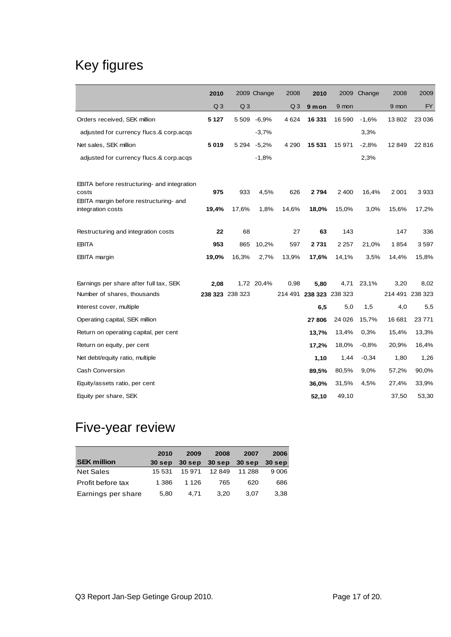## Key figures

|                                                 | 2010           |                 | 2009 Change | 2008           | 2010            |         | 2009 Change | 2008            | 2009      |
|-------------------------------------------------|----------------|-----------------|-------------|----------------|-----------------|---------|-------------|-----------------|-----------|
|                                                 | Q <sub>3</sub> | Q <sub>3</sub>  |             | Q <sub>3</sub> | 9 mon           | 9 mon   |             | 9 mon           | <b>FY</b> |
| Orders received, SEK million                    | 5 1 2 7        |                 | 5 509 -6,9% | 4 6 24         | 16 331          | 16 590  | $-1,6%$     | 13802           | 23 0 36   |
| adjusted for currency flucs.& corp.acqs         |                |                 | $-3,7%$     |                |                 |         | 3,3%        |                 |           |
| Net sales, SEK million                          | 5019           | 5 2 9 4         | $-5,2%$     | 4 2 9 0        | 15 5 31         | 15 971  | $-2,8%$     | 12 849          | 22816     |
| adjusted for currency flucs.& corp.acqs         |                |                 | $-1,8%$     |                |                 |         | 2,3%        |                 |           |
| EBITA before restructuring- and integration     |                |                 |             |                |                 |         |             |                 |           |
| costs<br>EBITA margin before restructuring- and | 975            | 933             | 4,5%        | 626            | 2794            | 2 4 0 0 | 16,4%       | 2 0 0 1         | 3933      |
| integration costs                               | 19,4%          | 17,6%           | 1,8%        | 14,6%          | 18,0%           | 15,0%   | 3,0%        | 15,6%           | 17,2%     |
| Restructuring and integration costs             | 22             | 68              |             | 27             | 63              | 143     |             | 147             | 336       |
| <b>EBITA</b>                                    | 953            | 865             | 10,2%       | 597            | 2731            | 2 2 5 7 | 21,0%       | 1854            | 3597      |
| <b>EBITA</b> margin                             | 19,0%          | 16,3%           | 2,7%        | 13,9%          | 17,6%           | 14,1%   | 3,5%        | 14,4%           | 15,8%     |
|                                                 |                |                 |             |                |                 |         |             |                 |           |
| Earnings per share after full tax, SEK          | 2,08           |                 | 1,72 20,4%  | 0,98           | 5,80            | 4,71    | 23,1%       | 3,20            | 8,02      |
| Number of shares, thousands                     |                | 238 323 238 323 |             | 214 491        | 238 323 238 323 |         |             | 214 491 238 323 |           |
| Interest cover, multiple                        |                |                 |             |                | 6,5             | 5,0     | 1,5         | 4,0             | 5,5       |
| Operating capital, SEK million                  |                |                 |             |                | 27806           | 24 0 26 | 15,7%       | 16 681          | 23 771    |
| Return on operating capital, per cent           |                |                 |             |                | 13,7%           | 13,4%   | 0.3%        | 15,4%           | 13,3%     |
| Return on equity, per cent                      |                |                 |             |                | 17,2%           | 18,0%   | $-0.8%$     | 20,9%           | 16,4%     |
| Net debt/equity ratio, multiple                 |                |                 |             |                | 1,10            | 1,44    | $-0,34$     | 1,80            | 1,26      |
| Cash Conversion                                 |                |                 |             |                | 89,5%           | 80,5%   | 9,0%        | 57,2%           | 90,0%     |
| Equity/assets ratio, per cent                   |                |                 |             |                | 36,0%           | 31,5%   | 4,5%        | 27,4%           | 33,9%     |
| Equity per share, SEK                           |                |                 |             |                | 52,10           | 49,10   |             | 37,50           | 53,30     |

### Five-year review

|                    | 2010   | 2009    | 2008                 | 2007   | 2006     |
|--------------------|--------|---------|----------------------|--------|----------|
| <b>SEK million</b> | 30 sep |         | 30 sep 30 sep 30 sep |        | $30$ sep |
| <b>Net Sales</b>   | 15 531 | 15 971  | 12849                | 11 288 | 9 0 0 6  |
| Profit before tax  | 1 386  | 1 1 2 6 | 765                  | 620    | 686      |
| Earnings per share | 5.80   | 4.71    | 3.20                 | 3.07   | 3.38     |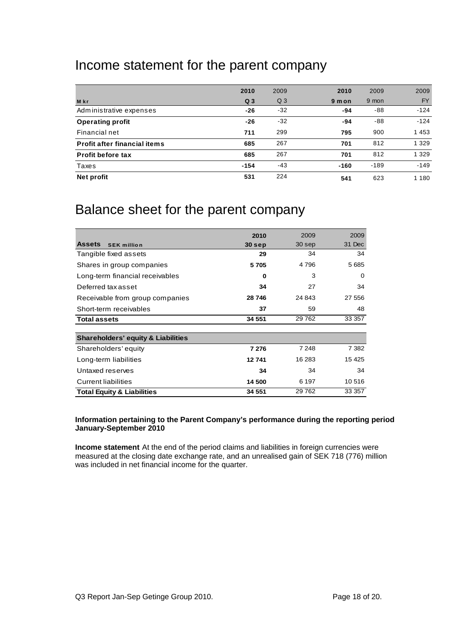### Income statement for the parent company

|                              | 2010           | 2009           | 2010   | 2009   | 2009      |
|------------------------------|----------------|----------------|--------|--------|-----------|
| <b>M</b> kr                  | Q <sub>3</sub> | Q <sub>3</sub> | 9 m on | 9 mon  | <b>FY</b> |
| Administrative expenses      | -26            | $-32$          | -94    | -88    | $-124$    |
| <b>Operating profit</b>      | -26            | $-32$          | -94    | -88    | $-124$    |
| Financial net                | 711            | 299            | 795    | 900    | 1453      |
| Profit after financial items | 685            | 267            | 701    | 812    | 1 3 2 9   |
| <b>Profit before tax</b>     | 685            | 267            | 701    | 812    | 1 3 2 9   |
| Taxes                        | $-154$         | $-43$          | $-160$ | $-189$ | $-149$    |
| Net profit                   | 531            | 224            | 541    | 623    | 180       |

### Balance sheet for the parent company

|                                               | 2010   | 2009    | 2009    |
|-----------------------------------------------|--------|---------|---------|
| <b>Assets</b><br><b>SEK million</b>           | 30 sep | 30 sep  | 31 Dec  |
| Tangible fixed assets                         | 29     | 34      | 34      |
| Shares in group companies                     | 5705   | 4 796   | 5685    |
| Long-term financial receivables               | 0      | 3       | 0       |
| Deferred tax asset                            | 34     | 27      | 34      |
| Receivable from group companies               | 28 746 | 24 843  | 27 556  |
| Short-term receivables                        | 37     | 59      | 48      |
| <b>Total assets</b>                           | 34 551 | 29 7 62 | 33 357  |
|                                               |        |         |         |
| <b>Shareholders' equity &amp; Liabilities</b> |        |         |         |
| Shareholders' equity                          | 7 276  | 7 248   | 7 3 8 2 |
| Long-term liabilities                         | 12741  | 16 283  | 15 4 25 |
| Untaxed reserves                              | 34     | 34      | 34      |
| <b>Current liabilities</b>                    | 14 500 | 6 197   | 10 516  |
| <b>Total Equity &amp; Liabilities</b>         | 34 551 | 29 7 62 | 33 357  |

#### **Information pertaining to the Parent Company's performance during the reporting period January-September 2010**

**Income statement** At the end of the period claims and liabilities in foreign currencies were measured at the closing date exchange rate, and an unrealised gain of SEK 718 (776) million was included in net financial income for the quarter.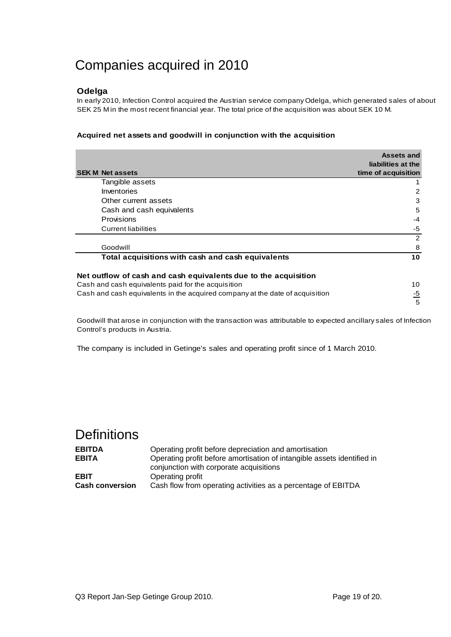### Companies acquired in 2010

#### **Odelga**

In early 2010, Infection Control acquired the Austrian service company Odelga, which generated sales of about SEK 25 M in the most recent financial year. The total price of the acquisition was about SEK 10 M.

#### **Acquired net assets and goodwill in conjunction with the acquisition**

| <b>SEK M Net assets</b>                                                      | Assets and<br>liabilities at the<br>time of acquisition |
|------------------------------------------------------------------------------|---------------------------------------------------------|
| Tangible assets                                                              |                                                         |
| Inventories                                                                  | 2                                                       |
| Other current assets                                                         | 3                                                       |
| Cash and cash equivalents                                                    | 5                                                       |
| Provisions                                                                   | $-4$                                                    |
| <b>Current liabilities</b>                                                   | -5                                                      |
|                                                                              | 2                                                       |
| Goodwill                                                                     | 8                                                       |
| Total acquisitions with cash and cash equivalents                            | 10                                                      |
| Net outflow of cash and cash equivalents due to the acquisition              |                                                         |
| Cash and cash equivalents paid for the acquisition                           | 10                                                      |
| Cash and cash equivalents in the acquired company at the date of acquisition | $\frac{-5}{2}$                                          |
|                                                                              | 5                                                       |

Goodwill that arose in conjunction with the transaction was attributable to expected ancillary sales of Infection Control's products in Austria.

The company is included in Getinge's sales and operating profit since of 1 March 2010.

### **Definitions**

| <b>EBITDA</b>          | Operating profit before depreciation and amortisation                   |
|------------------------|-------------------------------------------------------------------------|
| <b>EBITA</b>           | Operating profit before amortisation of intangible assets identified in |
|                        | conjunction with corporate acquisitions                                 |
| <b>EBIT</b>            | Operating profit                                                        |
| <b>Cash conversion</b> | Cash flow from operating activities as a percentage of EBITDA           |